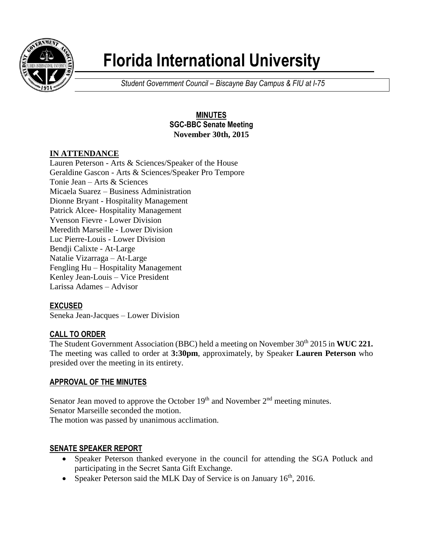

# **Florida International University**

*Student Government Council – Biscayne Bay Campus & FIU at I-75*

## **MINUTES SGC-BBC Senate Meeting November 30th, 2015**

## **IN ATTENDANCE**

Lauren Peterson - Arts & Sciences/Speaker of the House Geraldine Gascon - Arts & Sciences/Speaker Pro Tempore Tonie Jean – Arts & Sciences Micaela Suarez – Business Administration Dionne Bryant - Hospitality Management Patrick Alcee- Hospitality Management Yvenson Fievre - Lower Division Meredith Marseille - Lower Division Luc Pierre-Louis - Lower Division Bendji Calixte - At-Large Natalie Vizarraga – At-Large Fengling Hu – Hospitality Management Kenley Jean-Louis – Vice President Larissa Adames – Advisor

## **EXCUSED**

Seneka Jean-Jacques – Lower Division

## **CALL TO ORDER**

The Student Government Association (BBC) held a meeting on November 30<sup>th</sup> 2015 in **WUC 221.** The meeting was called to order at **3:30pm**, approximately, by Speaker **Lauren Peterson** who presided over the meeting in its entirety.

#### **APPROVAL OF THE MINUTES**

Senator Jean moved to approve the October  $19<sup>th</sup>$  and November  $2<sup>nd</sup>$  meeting minutes. Senator Marseille seconded the motion. The motion was passed by unanimous acclimation.

## **SENATE SPEAKER REPORT**

- Speaker Peterson thanked everyone in the council for attending the SGA Potluck and participating in the Secret Santa Gift Exchange.
- Speaker Peterson said the MLK Day of Service is on January  $16<sup>th</sup>$ , 2016.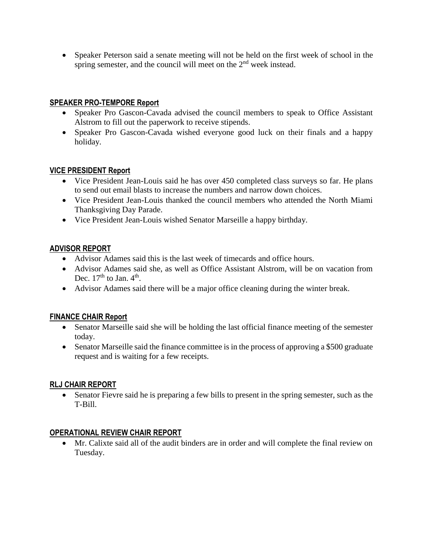Speaker Peterson said a senate meeting will not be held on the first week of school in the spring semester, and the council will meet on the 2<sup>nd</sup> week instead.

#### **SPEAKER PRO-TEMPORE Report**

- Speaker Pro Gascon-Cavada advised the council members to speak to Office Assistant Alstrom to fill out the paperwork to receive stipends.
- Speaker Pro Gascon-Cavada wished everyone good luck on their finals and a happy holiday.

#### **VICE PRESIDENT Report**

- Vice President Jean-Louis said he has over 450 completed class surveys so far. He plans to send out email blasts to increase the numbers and narrow down choices.
- Vice President Jean-Louis thanked the council members who attended the North Miami Thanksgiving Day Parade.
- Vice President Jean-Louis wished Senator Marseille a happy birthday.

## **ADVISOR REPORT**

- Advisor Adames said this is the last week of timecards and office hours.
- Advisor Adames said she, as well as Office Assistant Alstrom, will be on vacation from Dec.  $17<sup>th</sup>$  to Jan.  $4<sup>th</sup>$ .
- Advisor Adames said there will be a major office cleaning during the winter break.

## **FINANCE CHAIR Report**

- Senator Marseille said she will be holding the last official finance meeting of the semester today.
- Senator Marseille said the finance committee is in the process of approving a \$500 graduate request and is waiting for a few receipts.

## **RLJ CHAIR REPORT**

 Senator Fievre said he is preparing a few bills to present in the spring semester, such as the T-Bill.

## **OPERATIONAL REVIEW CHAIR REPORT**

 Mr. Calixte said all of the audit binders are in order and will complete the final review on Tuesday.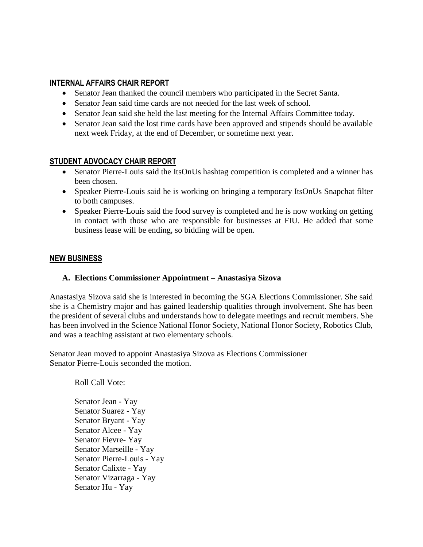#### **INTERNAL AFFAIRS CHAIR REPORT**

- Senator Jean thanked the council members who participated in the Secret Santa.
- Senator Jean said time cards are not needed for the last week of school.
- Senator Jean said she held the last meeting for the Internal Affairs Committee today.
- Senator Jean said the lost time cards have been approved and stipends should be available next week Friday, at the end of December, or sometime next year.

#### **STUDENT ADVOCACY CHAIR REPORT**

- Senator Pierre-Louis said the ItsOnUs hashtag competition is completed and a winner has been chosen.
- Speaker Pierre-Louis said he is working on bringing a temporary ItsOnUs Snapchat filter to both campuses.
- Speaker Pierre-Louis said the food survey is completed and he is now working on getting in contact with those who are responsible for businesses at FIU. He added that some business lease will be ending, so bidding will be open.

#### **NEW BUSINESS**

#### **A. Elections Commissioner Appointment – Anastasiya Sizova**

Anastasiya Sizova said she is interested in becoming the SGA Elections Commissioner. She said she is a Chemistry major and has gained leadership qualities through involvement. She has been the president of several clubs and understands how to delegate meetings and recruit members. She has been involved in the Science National Honor Society, National Honor Society, Robotics Club, and was a teaching assistant at two elementary schools.

Senator Jean moved to appoint Anastasiya Sizova as Elections Commissioner Senator Pierre-Louis seconded the motion.

Roll Call Vote:

Senator Jean - Yay Senator Suarez - Yay Senator Bryant - Yay Senator Alcee - Yay Senator Fievre- Yay Senator Marseille - Yay Senator Pierre-Louis - Yay Senator Calixte - Yay Senator Vizarraga - Yay Senator Hu - Yay